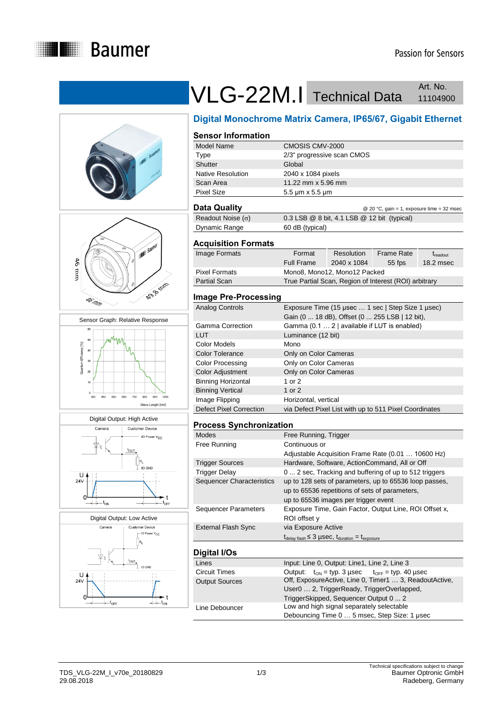











# VLG-22M.I Technical Data Art. No. Art. No.

## **Digital Monochrome Matrix Camera, IP65/67, Gigabit Ethernet**

#### **Sensor Information**

| Model Name               | CMOSIS CMV-2000              |
|--------------------------|------------------------------|
| Type                     | 2/3" progressive scan CMOS   |
| Shutter                  | Global                       |
| <b>Native Resolution</b> | 2040 x 1084 pixels           |
| Scan Area                | 11.22 mm x 5.96 mm           |
| <b>Pixel Size</b>        | $5.5 \mu m \times 5.5 \mu m$ |
|                          |                              |

#### **Data Quality** @ 20 °C, gain = 1, exposure time = 32 msec

| ---- -------             | $\approx$ 20 $\degree$ , year $\degree$ - 1, exposure time = 52 msec |
|--------------------------|----------------------------------------------------------------------|
| Readout Noise $(\sigma)$ | $0.3$ LSB $@$ 8 bit, 4.1 LSB $@$ 12 bit (typical)                    |
| Dynamic Range            | 60 dB (typical)                                                      |

#### **Acquisition Formats**

| Image Formats | Format                                                | Resolution  | Frame Rate | $t_{\rm readout}$ |
|---------------|-------------------------------------------------------|-------------|------------|-------------------|
|               | <b>Full Frame</b>                                     | 2040 x 1084 | $55$ fps   | 18.2 msec         |
| Pixel Formats | Mono8, Mono12, Mono12 Packed                          |             |            |                   |
| Partial Scan  | True Partial Scan, Region of Interest (ROI) arbitrary |             |            |                   |
|               |                                                       |             |            |                   |

### **Image Pre-Processing**

| Analog Controls           | Exposure Time (15 µsec  1 sec   Step Size 1 µsec)<br>Gain (0  18 dB), Offset (0  255 LSB   12 bit), |
|---------------------------|-----------------------------------------------------------------------------------------------------|
| Gamma Correction          | Gamma (0.1  2   available if LUT is enabled)                                                        |
| LUT                       | Luminance (12 bit)                                                                                  |
| Color Models              | Mono                                                                                                |
| <b>Color Tolerance</b>    | Only on Color Cameras                                                                               |
| Color Processing          | Only on Color Cameras                                                                               |
| Color Adjustment          | Only on Color Cameras                                                                               |
| <b>Binning Horizontal</b> | 1 or 2                                                                                              |
| <b>Binning Vertical</b>   | 1 or $2$                                                                                            |
| Image Flipping            | Horizontal, vertical                                                                                |
| Defect Pixel Correction   | via Defect Pixel List with up to 511 Pixel Coordinates                                              |

#### **Process Synchronization**

| <b>Modes</b>                     | Free Running, Trigger                                                                     |
|----------------------------------|-------------------------------------------------------------------------------------------|
| Free Running                     | Continuous or                                                                             |
|                                  | Adjustable Acquisition Frame Rate (0.01  10600 Hz)                                        |
| <b>Trigger Sources</b>           | Hardware, Software, ActionCommand, All or Off                                             |
| <b>Trigger Delay</b>             | 0  2 sec. Tracking and buffering of up to 512 triggers                                    |
| <b>Sequencer Characteristics</b> | up to 128 sets of parameters, up to 65536 loop passes,                                    |
|                                  | up to 65536 repetitions of sets of parameters,                                            |
|                                  | up to 65536 images per trigger event                                                      |
| <b>Sequencer Parameters</b>      | Exposure Time, Gain Factor, Output Line, ROI Offset x,                                    |
|                                  | ROI offset y                                                                              |
| <b>External Flash Sync</b>       | via Exposure Active                                                                       |
|                                  | $t_{\text{delay flash}} \leq 3 \mu \text{sec}, t_{\text{duration}} = t_{\text{exposure}}$ |
|                                  |                                                                                           |
| Digital I/Os                     |                                                                                           |
| Lines                            | Input: Line 0, Output: Line1, Line 2, Line 3                                              |
|                                  |                                                                                           |

| Lines                 | Input: Line 0, Output: Line1, Line 2, Line 3                  |  |  |
|-----------------------|---------------------------------------------------------------|--|--|
| Circuit Times         | Output: $t_{ON} = typ. 3 \mu sec$ $t_{OFF} = typ. 40 \mu sec$ |  |  |
| <b>Output Sources</b> | Off, ExposureActive, Line 0, Timer1  3, ReadoutActive,        |  |  |
|                       | User0  2, TriggerReady, TriggerOverlapped,                    |  |  |
|                       | TriggerSkipped, Sequencer Output 0  2                         |  |  |
| Line Debouncer        | Low and high signal separately selectable                     |  |  |
|                       | Debouncing Time 0  5 msec, Step Size: 1 usec                  |  |  |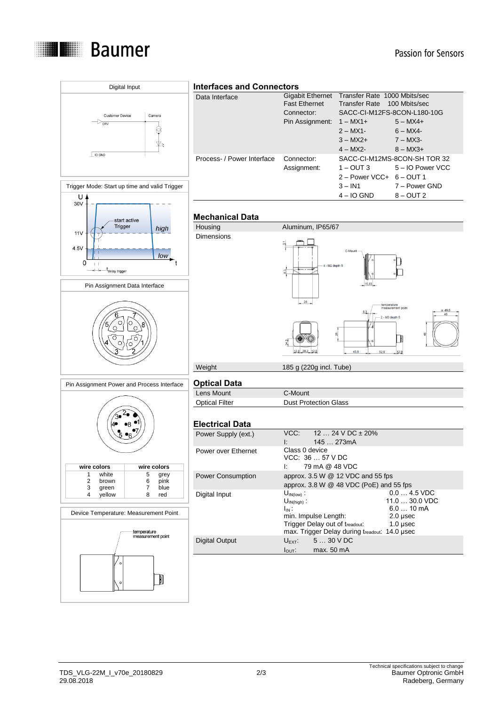